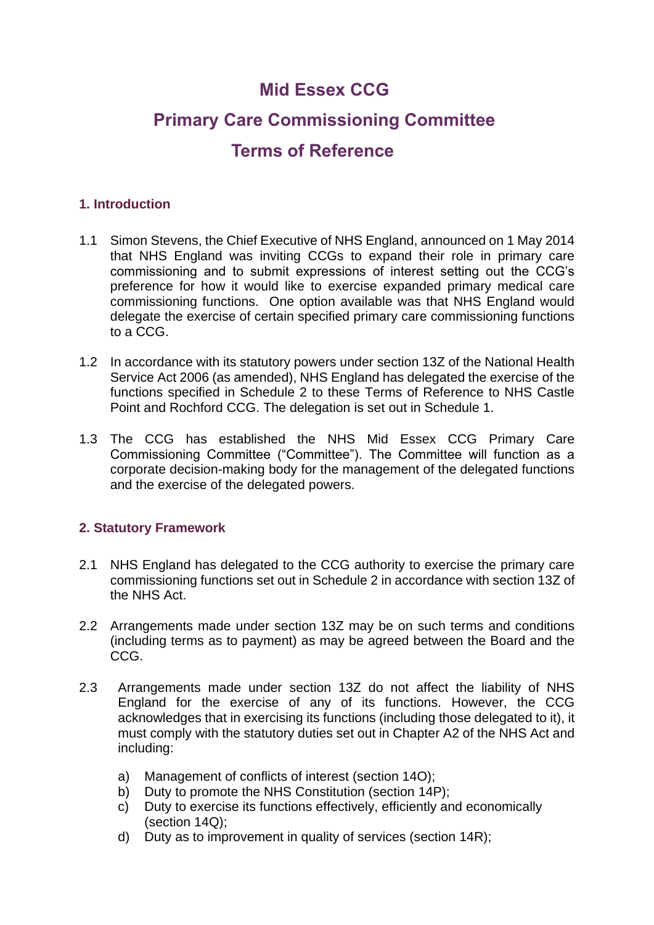# **Mid Essex CCG**

# **Primary Care Commissioning Committee**

# **Terms of Reference**

# **1. Introduction**

- 1.1 Simon Stevens, the Chief Executive of NHS England, announced on 1 May 2014 that NHS England was inviting CCGs to expand their role in primary care commissioning and to submit expressions of interest setting out the CCG's preference for how it would like to exercise expanded primary medical care commissioning functions. One option available was that NHS England would delegate the exercise of certain specified primary care commissioning functions to a CCG.
- 1.2 In accordance with its statutory powers under section 13Z of the National Health Service Act 2006 (as amended), NHS England has delegated the exercise of the functions specified in Schedule 2 to these Terms of Reference to NHS Castle Point and Rochford CCG. The delegation is set out in Schedule 1.
- 1.3 The CCG has established the NHS Mid Essex CCG Primary Care Commissioning Committee ("Committee"). The Committee will function as a corporate decision-making body for the management of the delegated functions and the exercise of the delegated powers.

# **2. Statutory Framework**

- 2.1 NHS England has delegated to the CCG authority to exercise the primary care commissioning functions set out in Schedule 2 in accordance with section 13Z of the NHS Act.
- 2.2 Arrangements made under section 13Z may be on such terms and conditions (including terms as to payment) as may be agreed between the Board and the CCG.
- 2.3 Arrangements made under section 13Z do not affect the liability of NHS England for the exercise of any of its functions. However, the CCG acknowledges that in exercising its functions (including those delegated to it), it must comply with the statutory duties set out in Chapter A2 of the NHS Act and including:
	- a) Management of conflicts of interest (section 14O);
	- b) Duty to promote the NHS Constitution (section 14P);
	- c) Duty to exercise its functions effectively, efficiently and economically (section 14Q);
	- d) Duty as to improvement in quality of services (section 14R);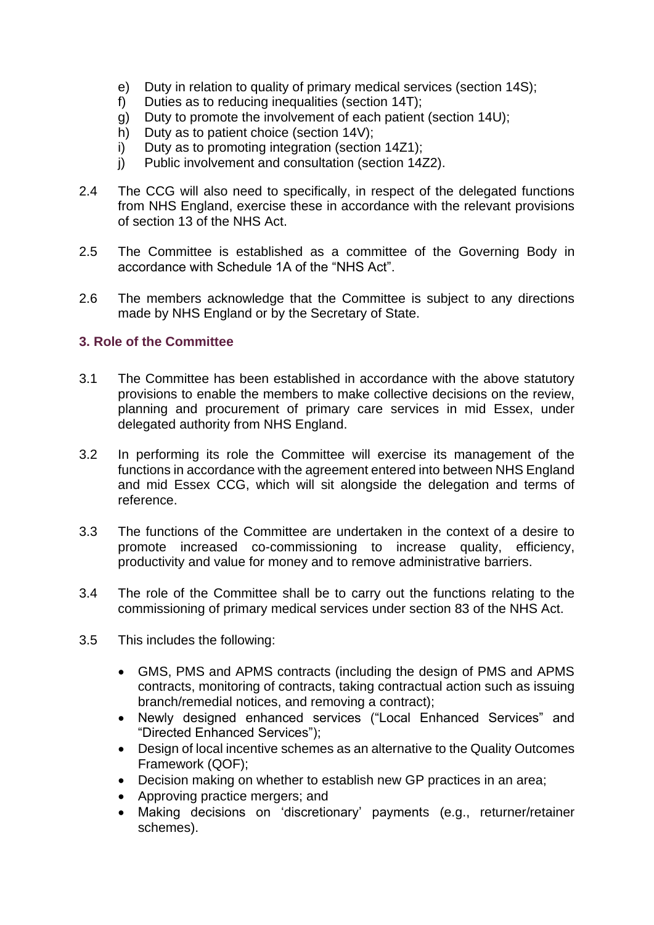- e) Duty in relation to quality of primary medical services (section 14S);
- f) Duties as to reducing inequalities (section 14T);
- g) Duty to promote the involvement of each patient (section 14U);
- h) Duty as to patient choice (section 14V);
- i) Duty as to promoting integration (section 14Z1);
- j) Public involvement and consultation (section 14Z2).
- 2.4 The CCG will also need to specifically, in respect of the delegated functions from NHS England, exercise these in accordance with the relevant provisions of section 13 of the NHS Act.
- 2.5 The Committee is established as a committee of the Governing Body in accordance with Schedule 1A of the "NHS Act".
- 2.6 The members acknowledge that the Committee is subject to any directions made by NHS England or by the Secretary of State.

# **3. Role of the Committee**

- 3.1 The Committee has been established in accordance with the above statutory provisions to enable the members to make collective decisions on the review, planning and procurement of primary care services in mid Essex, under delegated authority from NHS England.
- 3.2 In performing its role the Committee will exercise its management of the functions in accordance with the agreement entered into between NHS England and mid Essex CCG, which will sit alongside the delegation and terms of reference.
- 3.3 The functions of the Committee are undertaken in the context of a desire to promote increased co-commissioning to increase quality, efficiency, productivity and value for money and to remove administrative barriers.
- 3.4 The role of the Committee shall be to carry out the functions relating to the commissioning of primary medical services under section 83 of the NHS Act.
- 3.5 This includes the following:
	- GMS, PMS and APMS contracts (including the design of PMS and APMS contracts, monitoring of contracts, taking contractual action such as issuing branch/remedial notices, and removing a contract);
	- Newly designed enhanced services ("Local Enhanced Services" and "Directed Enhanced Services");
	- Design of local incentive schemes as an alternative to the Quality Outcomes Framework (QOF);
	- Decision making on whether to establish new GP practices in an area;
	- Approving practice mergers; and
	- Making decisions on 'discretionary' payments (e.g., returner/retainer schemes).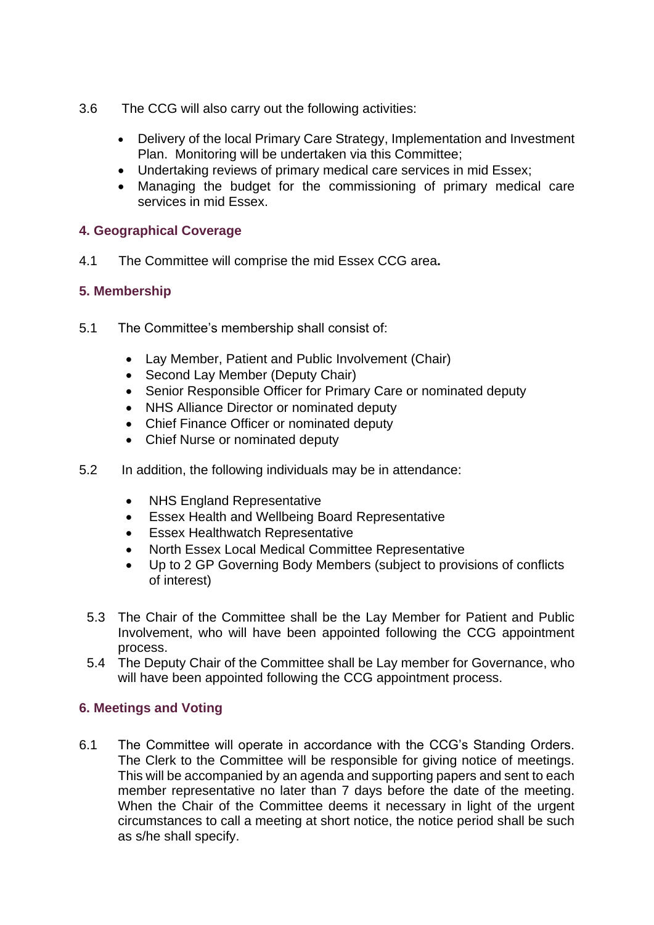- 3.6 The CCG will also carry out the following activities:
	- Delivery of the local Primary Care Strategy, Implementation and Investment Plan. Monitoring will be undertaken via this Committee;
	- Undertaking reviews of primary medical care services in mid Essex;
	- Managing the budget for the commissioning of primary medical care services in mid Essex.

# **4. Geographical Coverage**

4.1 The Committee will comprise the mid Essex CCG area**.**

# **5. Membership**

- 5.1 The Committee's membership shall consist of:
	- Lay Member, Patient and Public Involvement (Chair)
	- Second Lay Member (Deputy Chair)
	- Senior Responsible Officer for Primary Care or nominated deputy
	- NHS Alliance Director or nominated deputy
	- Chief Finance Officer or nominated deputy
	- Chief Nurse or nominated deputy
- 5.2 In addition, the following individuals may be in attendance:
	- NHS England Representative
	- Essex Health and Wellbeing Board Representative
	- **Essex Healthwatch Representative**
	- North Essex Local Medical Committee Representative
	- Up to 2 GP Governing Body Members (subject to provisions of conflicts of interest)
	- 5.3 The Chair of the Committee shall be the Lay Member for Patient and Public Involvement, who will have been appointed following the CCG appointment process.
	- 5.4 The Deputy Chair of the Committee shall be Lay member for Governance, who will have been appointed following the CCG appointment process.

# **6. Meetings and Voting**

6.1 The Committee will operate in accordance with the CCG's Standing Orders. The Clerk to the Committee will be responsible for giving notice of meetings. This will be accompanied by an agenda and supporting papers and sent to each member representative no later than 7 days before the date of the meeting. When the Chair of the Committee deems it necessary in light of the urgent circumstances to call a meeting at short notice, the notice period shall be such as s/he shall specify.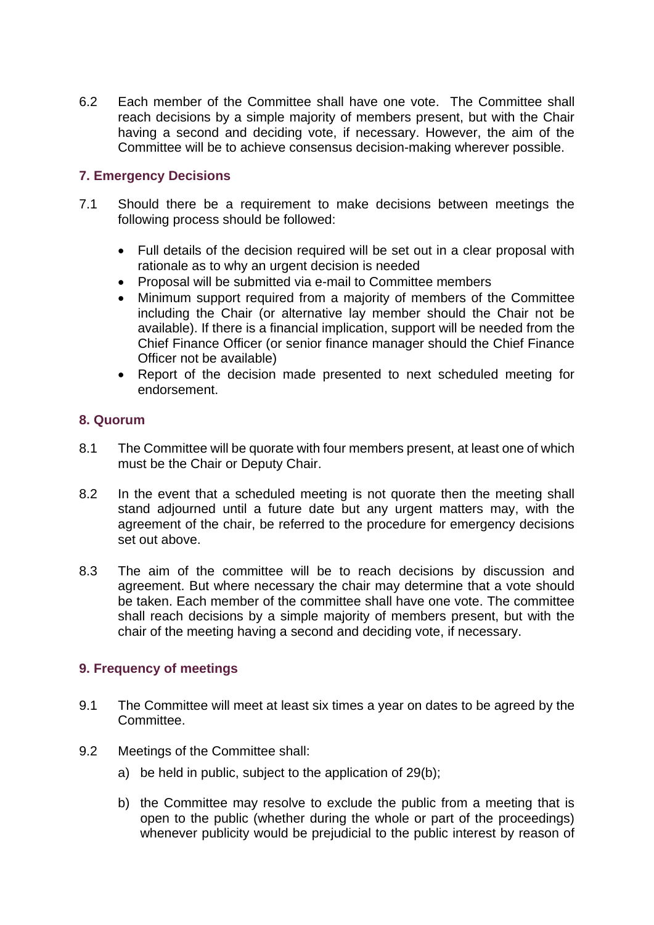6.2 Each member of the Committee shall have one vote. The Committee shall reach decisions by a simple majority of members present, but with the Chair having a second and deciding vote, if necessary. However, the aim of the Committee will be to achieve consensus decision-making wherever possible.

# **7. Emergency Decisions**

- 7.1 Should there be a requirement to make decisions between meetings the following process should be followed:
	- Full details of the decision required will be set out in a clear proposal with rationale as to why an urgent decision is needed
	- Proposal will be submitted via e-mail to Committee members
	- Minimum support required from a majority of members of the Committee including the Chair (or alternative lay member should the Chair not be available). If there is a financial implication, support will be needed from the Chief Finance Officer (or senior finance manager should the Chief Finance Officer not be available)
	- Report of the decision made presented to next scheduled meeting for endorsement.

# **8. Quorum**

- 8.1 The Committee will be quorate with four members present, at least one of which must be the Chair or Deputy Chair.
- 8.2 In the event that a scheduled meeting is not quorate then the meeting shall stand adjourned until a future date but any urgent matters may, with the agreement of the chair, be referred to the procedure for emergency decisions set out above.
- 8.3 The aim of the committee will be to reach decisions by discussion and agreement. But where necessary the chair may determine that a vote should be taken. Each member of the committee shall have one vote. The committee shall reach decisions by a simple majority of members present, but with the chair of the meeting having a second and deciding vote, if necessary.

# **9. Frequency of meetings**

- 9.1 The Committee will meet at least six times a year on dates to be agreed by the Committee.
- 9.2 Meetings of the Committee shall:
	- a) be held in public, subject to the application of 29(b);
	- b) the Committee may resolve to exclude the public from a meeting that is open to the public (whether during the whole or part of the proceedings) whenever publicity would be prejudicial to the public interest by reason of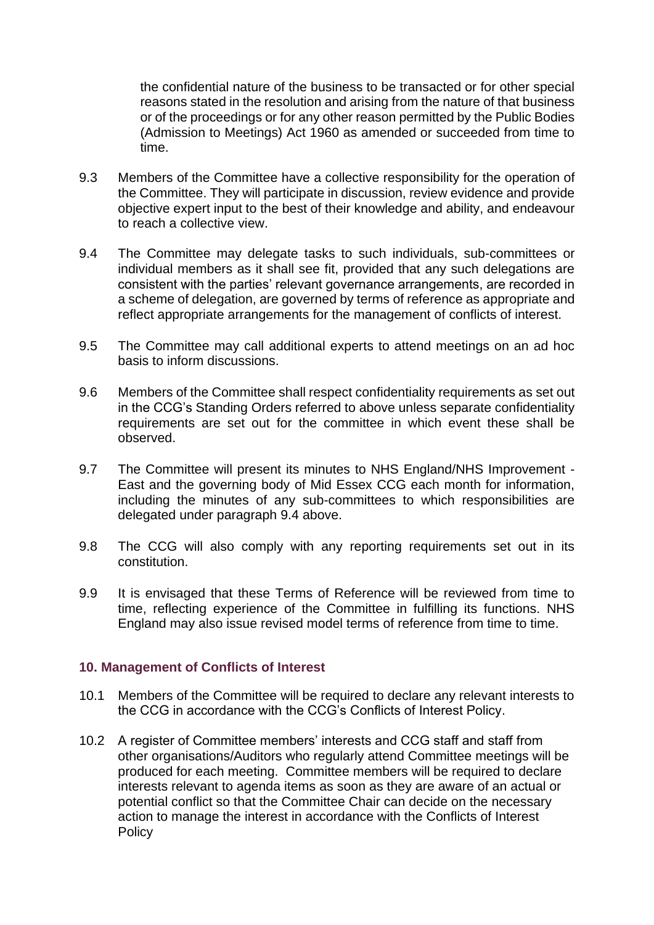the confidential nature of the business to be transacted or for other special reasons stated in the resolution and arising from the nature of that business or of the proceedings or for any other reason permitted by the Public Bodies (Admission to Meetings) Act 1960 as amended or succeeded from time to time.

- 9.3 Members of the Committee have a collective responsibility for the operation of the Committee. They will participate in discussion, review evidence and provide objective expert input to the best of their knowledge and ability, and endeavour to reach a collective view.
- 9.4 The Committee may delegate tasks to such individuals, sub-committees or individual members as it shall see fit, provided that any such delegations are consistent with the parties' relevant governance arrangements, are recorded in a scheme of delegation, are governed by terms of reference as appropriate and reflect appropriate arrangements for the management of conflicts of interest.
- 9.5 The Committee may call additional experts to attend meetings on an ad hoc basis to inform discussions.
- 9.6 Members of the Committee shall respect confidentiality requirements as set out in the CCG's Standing Orders referred to above unless separate confidentiality requirements are set out for the committee in which event these shall be observed.
- 9.7 The Committee will present its minutes to NHS England/NHS Improvement East and the governing body of Mid Essex CCG each month for information, including the minutes of any sub-committees to which responsibilities are delegated under paragraph 9.4 above.
- 9.8 The CCG will also comply with any reporting requirements set out in its constitution.
- 9.9 It is envisaged that these Terms of Reference will be reviewed from time to time, reflecting experience of the Committee in fulfilling its functions. NHS England may also issue revised model terms of reference from time to time.

#### **10. Management of Conflicts of Interest**

- 10.1 Members of the Committee will be required to declare any relevant interests to the CCG in accordance with the CCG's Conflicts of Interest Policy.
- 10.2 A register of Committee members' interests and CCG staff and staff from other organisations/Auditors who regularly attend Committee meetings will be produced for each meeting. Committee members will be required to declare interests relevant to agenda items as soon as they are aware of an actual or potential conflict so that the Committee Chair can decide on the necessary action to manage the interest in accordance with the Conflicts of Interest **Policy**